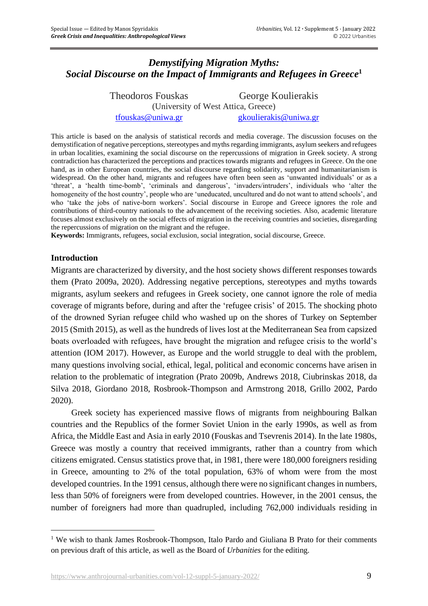# *Demystifying Migration Myths: Social Discourse on the Impact of Immigrants and Refugees in Greece* **1**

Theodoros Fouskas George Koulierakis (University of West Attica, Greece) [tfouskas@uniwa.gr](mailto:tfouskas@uniwa.gr) [gkoulierakis@uniwa.gr](mailto:gkoulierakis@uniwa.gr)

This article is based on the analysis of statistical records and media coverage. The discussion focuses on the demystification of negative perceptions, stereotypes and myths regarding immigrants, asylum seekers and refugees in urban localities, examining the social discourse on the repercussions of migration in Greek society. A strong contradiction has characterized the perceptions and practices towards migrants and refugees in Greece. On the one hand, as in other European countries, the social discourse regarding solidarity, support and humanitarianism is widespread. On the other hand, migrants and refugees have often been seen as 'unwanted individuals' or as a 'threat', a 'health time-bomb', 'criminals and dangerous', 'invaders/intruders', individuals who 'alter the homogeneity of the host country', people who are 'uneducated, uncultured and do not want to attend schools', and who 'take the jobs of native-born workers'. Social discourse in Europe and Greece ignores the role and contributions of third-country nationals to the advancement of the receiving societies. Also, academic literature focuses almost exclusively on the social effects of migration in the receiving countries and societies, disregarding the repercussions of migration on the migrant and the refugee.

**Keywords:** Immigrants, refugees, social exclusion, social integration, social discourse, Greece.

#### **Introduction**

Migrants are characterized by diversity, and the host society shows different responses towards them (Prato 2009a, 2020). Addressing negative perceptions, stereotypes and myths towards migrants, asylum seekers and refugees in Greek society, one cannot ignore the role of media coverage of migrants before, during and after the 'refugee crisis' of 2015. The shocking photo of the drowned Syrian refugee child who washed up on the shores of Turkey on September 2015 (Smith 2015), as well as the hundreds of lives lost at the Mediterranean Sea from capsized boats overloaded with refugees, have brought the migration and refugee crisis to the world's attention (IOM 2017). However, as Europe and the world struggle to deal with the problem, many questions involving social, ethical, legal, political and economic concerns have arisen in relation to the problematic of integration (Prato 2009b, Andrews 2018, Ciubrinskas 2018, da Silva 2018, Giordano 2018, Rosbrook-Thompson and Armstrong 2018, Grillo 2002, Pardo 2020).

Greek society has experienced massive flows of migrants from neighbouring Balkan countries and the Republics of the former Soviet Union in the early 1990s, as well as from Africa, the Middle East and Asia in early 2010 (Fouskas and Tsevrenis 2014). In the late 1980s, Greece was mostly a country that received immigrants, rather than a country from which citizens emigrated. Census statistics prove that, in 1981, there were 180,000 foreigners residing in Greece, amounting to 2% of the total population, 63% of whom were from the most developed countries. In the 1991 census, although there were no significant changes in numbers, less than 50% of foreigners were from developed countries. However, in the 2001 census, the number of foreigners had more than quadrupled, including 762,000 individuals residing in

<sup>&</sup>lt;sup>1</sup> We wish to thank James Rosbrook-Thompson, Italo Pardo and Giuliana B Prato for their comments on previous draft of this article, as well as the Board of *Urbanities* for the editing.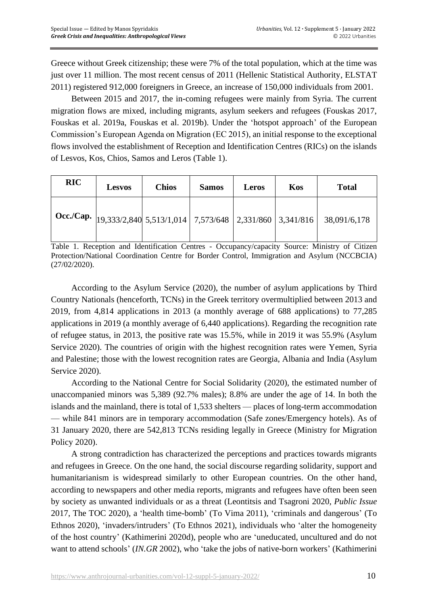Greece without Greek citizenship; these were 7% of the total population, which at the time was just over 11 million. The most recent census of 2011 (Hellenic Statistical Authority, ELSTAT 2011) registered 912,000 foreigners in Greece, an increase of 150,000 individuals from 2001.

Between 2015 and 2017, the in-coming refugees were mainly from Syria. The current migration flows are mixed, including migrants, asylum seekers and refugees (Fouskas 2017, Fouskas et al. 2019a, Fouskas et al. 2019b). Under the 'hotspot approach' of the European Commission's European Agenda on Migration (EC 2015), an initial response to the exceptional flows involved the establishment of Reception and Identification Centres (RICs) on the islands of Lesvos, Kos, Chios, Samos and Leros (Table 1).

| <b>RIC</b> | <b>Lesvos</b> | <b>Chios</b> | <b>Samos</b> | Leros | Kos | <b>Total</b>                                                                                                                                  |
|------------|---------------|--------------|--------------|-------|-----|-----------------------------------------------------------------------------------------------------------------------------------------------|
|            |               |              |              |       |     | $\frac{1}{2}$ Occ./Cap. $\left  \frac{19,333/2,840}{5,513/1,014} \right $ 7,573/648 $\left  \frac{2,331/860}{3,341/816} \right $ 38,091/6,178 |

Table 1. Reception and Identification Centres - Occupancy/capacity Source: Ministry of Citizen Protection/National Coordination Centre for Border Control, Immigration and Asylum (NCCBCIA) (27/02/2020).

According to the Asylum Service (2020), the number of asylum applications by Third Country Nationals (henceforth, TCNs) in the Greek territory overmultiplied between 2013 and 2019, from 4,814 applications in 2013 (a monthly average of 688 applications) to 77,285 applications in 2019 (a monthly average of 6,440 applications). Regarding the recognition rate of refugee status, in 2013, the positive rate was 15.5%, while in 2019 it was 55.9% (Asylum Service 2020). The countries of origin with the highest recognition rates were Yemen, Syria and Palestine; those with the lowest recognition rates are Georgia, Albania and India (Asylum Service 2020).

According to the National Centre for Social Solidarity (2020), the estimated number of unaccompanied minors was 5,389 (92.7% males); 8.8% are under the age of 14. In both the islands and the mainland, there is total of 1,533 shelters — places of long-term accommodation — while 841 minors are in temporary accommodation (Safe zones/Emergency hotels). As of 31 January 2020, there are 542,813 TCNs residing legally in Greece (Ministry for Migration Policy 2020).

A strong contradiction has characterized the perceptions and practices towards migrants and refugees in Greece. On the one hand, the social discourse regarding solidarity, support and humanitarianism is widespread similarly to other European countries. On the other hand, according to newspapers and other media reports, migrants and refugees have often been seen by society as unwanted individuals or as a threat (Leontitsis and Tsagroni 2020, *Public Issue* 2017, The TOC 2020), a 'health time-bomb' (To Vima 2011), 'criminals and dangerous' (To Ethnos 2020), 'invaders/intruders' (To Ethnos 2021), individuals who 'alter the homogeneity of the host country' (Kathimerini 2020d), people who are 'uneducated, uncultured and do not want to attend schools' (*IN.GR* 2002), who 'take the jobs of native-born workers' (Kathimerini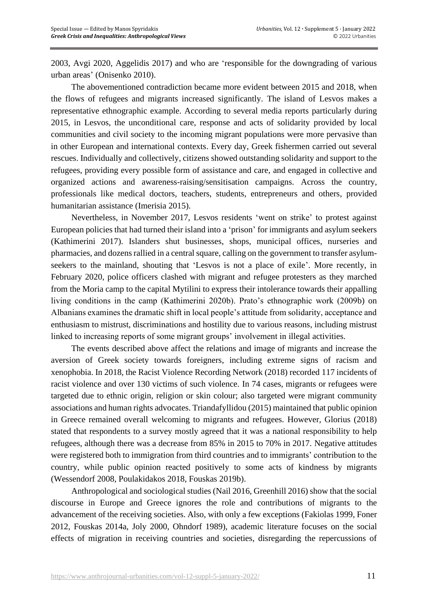2003, Avgi 2020, Aggelidis 2017) and who are 'responsible for the downgrading of various urban areas' (Onisenko 2010).

The abovementioned contradiction became more evident between 2015 and 2018, when the flows of refugees and migrants increased significantly. The island of Lesvos makes a representative ethnographic example. According to several media reports particularly during 2015, in Lesvos, the unconditional care, response and acts of solidarity provided by local communities and civil society to the incoming migrant populations were more pervasive than in other European and international contexts. Every day, Greek fishermen carried out several rescues. Individually and collectively, citizens showed outstanding solidarity and support to the refugees, providing every possible form of assistance and care, and engaged in collective and organized actions and awareness-raising/sensitisation campaigns. Across the country, professionals like medical doctors, teachers, students, entrepreneurs and others, provided humanitarian assistance (Imerisia 2015).

Nevertheless, in November 2017, Lesvos residents 'went on strike' to protest against European policies that had turned their island into a 'prison' for immigrants and asylum seekers (Kathimerini 2017). Islanders shut businesses, shops, municipal offices, nurseries and pharmacies, and dozens rallied in a central square, calling on the government to transfer asylumseekers to the mainland, shouting that 'Lesvos is not a place of exile'. More recently, in February 2020, police officers clashed with migrant and refugee protesters as they marched from the Moria camp to the capital Mytilini to express their intolerance towards their appalling living conditions in the camp (Kathimerini 2020b). Prato's ethnographic work (2009b) on Albanians examines the dramatic shift in local people's attitude from solidarity, acceptance and enthusiasm to mistrust, discriminations and hostility due to various reasons, including mistrust linked to increasing reports of some migrant groups' involvement in illegal activities.

The events described above affect the relations and image of migrants and increase the aversion of Greek society towards foreigners, including extreme signs of racism and xenophobia. In 2018, the Racist Violence Recording Network (2018) recorded 117 incidents of racist violence and over 130 victims of such violence. In 74 cases, migrants or refugees were targeted due to ethnic origin, religion or skin colour; also targeted were migrant community associations and human rights advocates. Triandafyllidou (2015) maintained that public opinion in Greece remained overall welcoming to migrants and refugees. However, Glorius (2018) stated that respondents to a survey mostly agreed that it was a national responsibility to help refugees, although there was a decrease from 85% in 2015 to 70% in 2017. Negative attitudes were registered both to immigration from third countries and to immigrants' contribution to the country, while public opinion reacted positively to some acts of kindness by migrants (Wessendorf 2008, Poulakidakos 2018, Fouskas 2019b).

Anthropological and sociological studies (Nail 2016, Greenhill 2016) show that the social discourse in Europe and Greece ignores the role and contributions of migrants to the advancement of the receiving societies. Also, with only a few exceptions (Fakiolas 1999, Foner 2012, Fouskas 2014a, Joly 2000, Ohndorf 1989), academic literature focuses on the social effects of migration in receiving countries and societies, disregarding the repercussions of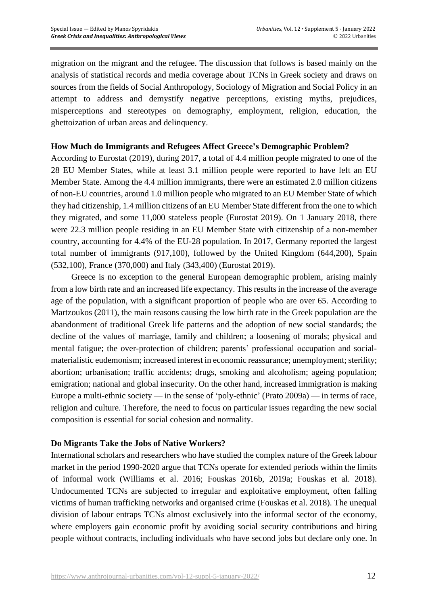migration on the migrant and the refugee. The discussion that follows is based mainly on the analysis of statistical records and media coverage about TCNs in Greek society and draws on sources from the fields of Social Anthropology, Sociology of Migration and Social Policy in an attempt to address and demystify negative perceptions, existing myths, prejudices, misperceptions and stereotypes on demography, employment, religion, education, the ghettoization of urban areas and delinquency.

## **How Much do Immigrants and Refugees Affect Greece's Demographic Problem?**

According to Eurostat (2019), during 2017, a total of 4.4 million people migrated to one of the 28 EU Member States, while at least 3.1 million people were reported to have left an EU Member State. Among the 4.4 million immigrants, there were an estimated 2.0 million citizens of non-EU countries, around 1.0 million people who migrated to an EU Member State of which they had citizenship, 1.4 million citizens of an EU Member State different from the one to which they migrated, and some 11,000 stateless people (Eurostat 2019). On 1 January 2018, there were 22.3 million people residing in an EU Member State with citizenship of a non-member country, accounting for 4.4% of the EU-28 population. In 2017, Germany reported the largest total number of immigrants (917,100), followed by the United Kingdom (644,200), Spain (532,100), France (370,000) and Italy (343,400) (Eurostat 2019).

Greece is no exception to the general European demographic problem, arising mainly from a low birth rate and an increased life expectancy. This results in the increase of the average age of the population, with a significant proportion of people who are over 65. According to Martzoukos (2011), the main reasons causing the low birth rate in the Greek population are the abandonment of traditional Greek life patterns and the adoption of new social standards; the decline of the values of marriage, family and children; a loosening of morals; physical and mental fatigue; the over-protection of children; parents' professional occupation and socialmaterialistic eudemonism; increased interest in economic reassurance; unemployment; sterility; abortion; urbanisation; traffic accidents; drugs, smoking and alcoholism; ageing population; emigration; national and global insecurity. On the other hand, increased immigration is making Europe a multi-ethnic society — in the sense of 'poly-ethnic' (Prato 2009a) — in terms of race, religion and culture. Therefore, the need to focus on particular issues regarding the new social composition is essential for social cohesion and normality.

#### **Do Migrants Take the Jobs of Native Workers?**

International scholars and researchers who have studied the complex nature of the Greek labour market in the period 1990-2020 argue that TCNs operate for extended periods within the limits of informal work (Williams et al. 2016; Fouskas 2016b, 2019a; Fouskas et al. 2018). Undocumented TCNs are subjected to irregular and exploitative employment, often falling victims of human trafficking networks and organised crime (Fouskas et al. 2018). The unequal division of labour entraps TCNs almost exclusively into the informal sector of the economy, where employers gain economic profit by avoiding social security contributions and hiring people without contracts, including individuals who have second jobs but declare only one. In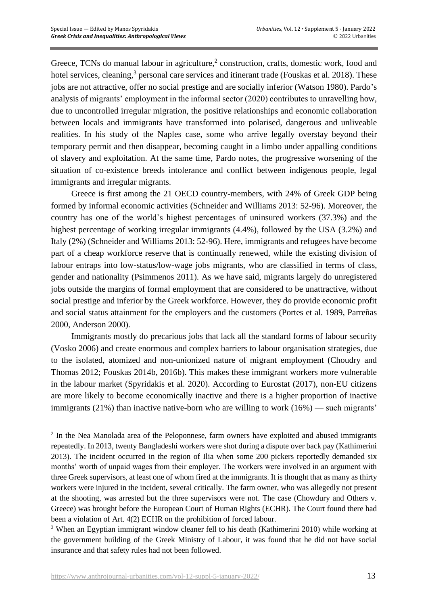Greece, TCNs do manual labour in agriculture,<sup>2</sup> construction, crafts, domestic work, food and hotel services, cleaning,<sup>3</sup> personal care services and itinerant trade (Fouskas et al. 2018). These jobs are not attractive, offer no social prestige and are socially inferior (Watson 1980). Pardo's analysis of migrants' employment in the informal sector (2020) contributes to unravelling how, due to uncontrolled irregular migration, the positive relationships and economic collaboration between locals and immigrants have transformed into polarised, dangerous and unliveable realities. In his study of the Naples case, some who arrive legally overstay beyond their temporary permit and then disappear, becoming caught in a limbo under appalling conditions of slavery and exploitation. At the same time, Pardo notes, the progressive worsening of the situation of co-existence breeds intolerance and conflict between indigenous people, legal immigrants and irregular migrants.

Greece is first among the 21 OECD country-members, with 24% of Greek GDP being formed by informal economic activities (Schneider and Williams 2013: 52-96). Moreover, the country has one of the world's highest percentages of uninsured workers (37.3%) and the highest percentage of working irregular immigrants (4.4%), followed by the USA (3.2%) and Italy (2%) (Schneider and Williams 2013: 52-96). Here, immigrants and refugees have become part of a cheap workforce reserve that is continually renewed, while the existing division of labour entraps into low-status/low-wage jobs migrants, who are classified in terms of class, gender and nationality (Psimmenos 2011). As we have said, migrants largely do unregistered jobs outside the margins of formal employment that are considered to be unattractive, without social prestige and inferior by the Greek workforce. However, they do provide economic profit and social status attainment for the employers and the customers (Portes et al. 1989, Parreñas 2000, Anderson 2000).

Immigrants mostly do precarious jobs that lack all the standard forms of labour security (Vosko 2006) and create enormous and complex barriers to labour organisation strategies, due to the isolated, atomized and non-unionized nature of migrant employment (Choudry and Thomas 2012; Fouskas 2014b, 2016b). This makes these immigrant workers more vulnerable in the labour market (Spyridakis et al. 2020). According to Eurostat (2017), non-EU citizens are more likely to become economically inactive and there is a higher proportion of inactive immigrants (21%) than inactive native-born who are willing to work (16%) — such migrants'

 $2$  In the Nea Manolada area of the Peloponnese, farm owners have exploited and abused immigrants repeatedly. In 2013, twenty Bangladeshi workers were shot during a dispute over back pay (Kathimerini 2013). The incident occurred in the region of Ilia when some 200 pickers reportedly demanded six months' worth of unpaid wages from their employer. The workers were involved in an argument with three Greek supervisors, at least one of whom fired at the immigrants. It is thought that as many as thirty workers were injured in the incident, several critically. The farm owner, who was allegedly not present at the shooting, was arrested but the three supervisors were not. The case (Chowdury and Others v. Greece) was brought before the European Court of Human Rights (ECHR). The Court found there had been a violation of Art. 4(2) ECHR on the prohibition of forced labour.

<sup>3</sup> When an Egyptian immigrant window cleaner fell to his death (Kathimerini 2010) while working at the government building of the Greek Ministry of Labour, it was found that he did not have social insurance and that safety rules had not been followed.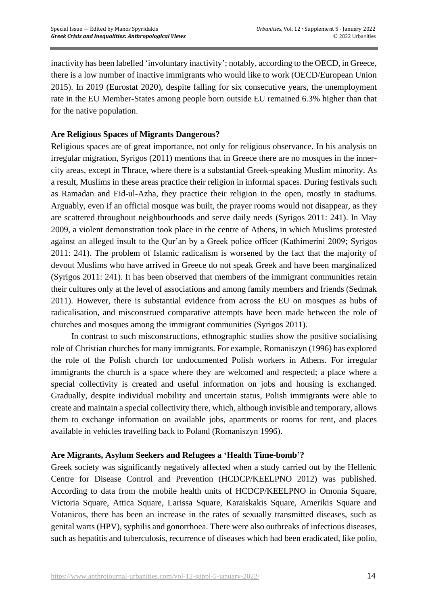inactivity has been labelled 'involuntary inactivity'; notably, according to the OECD, in Greece, there is a low number of inactive immigrants who would like to work (OECD/European Union 2015). In 2019 (Eurostat 2020), despite falling for six consecutive years, the unemployment rate in the EU Member-States among people born outside EU remained 6.3% higher than that for the native population.

## **Are Religious Spaces of Migrants Dangerous?**

Religious spaces are of great importance, not only for religious observance. In his analysis on irregular migration, Syrigos (2011) mentions that in Greece there are no mosques in the innercity areas, except in Thrace, where there is a substantial Greek-speaking Muslim minority. As a result, Muslims in these areas practice their religion in informal spaces. During festivals such as Ramadan and Eid-ul-Azha, they practice their religion in the open, mostly in stadiums. Arguably, even if an official mosque was built, the prayer rooms would not disappear, as they are scattered throughout neighbourhoods and serve daily needs (Syrigos 2011: 241). In May 2009, a violent demonstration took place in the centre of Athens, in which Muslims protested against an alleged insult to the Qur'an by a Greek police officer (Kathimerini 2009; Syrigos 2011: 241). The problem of Islamic radicalism is worsened by the fact that the majority of devout Muslims who have arrived in Greece do not speak Greek and have been marginalized (Syrigos 2011: 241). It has been observed that members of the immigrant communities retain their cultures only at the level of associations and among family members and friends (Sedmak 2011). However, there is substantial evidence from across the EU on mosques as hubs of radicalisation, and misconstrued comparative attempts have been made between the role of churches and mosques among the immigrant communities (Syrigos 2011).

In contrast to such misconstructions, ethnographic studies show the positive socialising role of Christian churches for many immigrants. For example, Romaniszyn (1996) has explored the role of the Polish church for undocumented Polish workers in Athens. For irregular immigrants the church is a space where they are welcomed and respected; a place where a special collectivity is created and useful information on jobs and housing is exchanged. Gradually, despite individual mobility and uncertain status, Polish immigrants were able to create and maintain a special collectivity there, which, although invisible and temporary, allows them to exchange information on available jobs, apartments or rooms for rent, and places available in vehicles travelling back to Poland (Romaniszyn 1996).

#### **Are Migrants, Asylum Seekers and Refugees a 'Health Time-bomb'?**

Greek society was significantly negatively affected when a study carried out by the Hellenic Centre for Disease Control and Prevention (HCDCP/KEELPNO 2012) was published. According to data from the mobile health units of HCDCP/KEELPNO in Omonia Square, Victoria Square, Attica Square, Larissa Square, Karaiskakis Square, Amerikis Square and Votanicos, there has been an increase in the rates of sexually transmitted diseases, such as genital warts (HPV), syphilis and gonorrhoea. There were also outbreaks of infectious diseases, such as hepatitis and tuberculosis, recurrence of diseases which had been eradicated, like polio,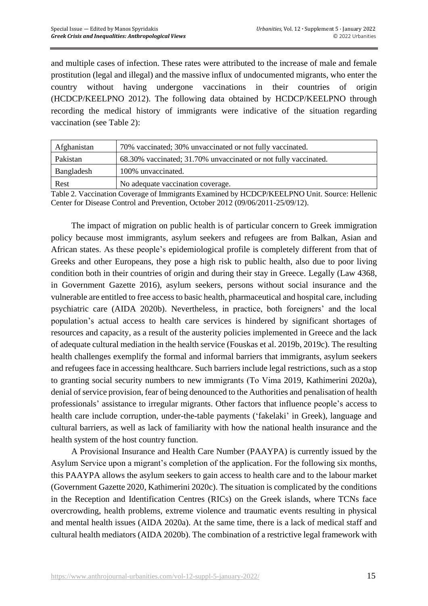and multiple cases of infection. These rates were attributed to the increase of male and female prostitution (legal and illegal) and the massive influx of undocumented migrants, who enter the country without having undergone vaccinations in their countries of origin (HCDCP/KEELPNO 2012). The following data obtained by HCDCP/KEELPNO through recording the medical history of immigrants were indicative of the situation regarding vaccination (see Table 2):

| Afghanistan | 70% vaccinated; 30% unvaccinated or not fully vaccinated.       |  |  |
|-------------|-----------------------------------------------------------------|--|--|
| Pakistan    | 68.30% vaccinated; 31.70% unvaccinated or not fully vaccinated. |  |  |
| Bangladesh  | 100% unvaccinated.                                              |  |  |
| Rest        | No adequate vaccination coverage.                               |  |  |

Table 2. Vaccination Coverage of Immigrants Examined by HCDCP/KEELPNO Unit. Source: Hellenic Center for Disease Control and Prevention, October 2012 (09/06/2011-25/09/12).

The impact of migration on public health is of particular concern to Greek immigration policy because most immigrants, asylum seekers and refugees are from Balkan, Asian and African states. As these people's epidemiological profile is completely different from that of Greeks and other Europeans, they pose a high risk to public health, also due to poor living condition both in their countries of origin and during their stay in Greece. Legally (Law 4368, in Government Gazette 2016), asylum seekers, persons without social insurance and the vulnerable are entitled to free access to basic health, pharmaceutical and hospital care, including psychiatric care (AIDA 2020b). Nevertheless, in practice, both foreigners' and the local population's actual access to health care services is hindered by significant shortages of resources and capacity, as a result of the austerity policies implemented in Greece and the lack of adequate cultural mediation in the health service (Fouskas et al. 2019b, 2019c). The resulting health challenges exemplify the formal and informal barriers that immigrants, asylum seekers and refugees face in accessing healthcare. Such barriers include legal restrictions, such as a stop to granting social security numbers to new immigrants (Το Vima 2019, Kathimerini 2020a), denial of service provision, fear of being denounced to the Authorities and penalisation of health professionals' assistance to irregular migrants. Other factors that influence people's access to health care include corruption, under-the-table payments ('fakelaki' in Greek), language and cultural barriers, as well as lack of familiarity with how the national health insurance and the health system of the host country function.

A Provisional Insurance and Health Care Number (PAAYPA) is currently issued by the Asylum Service upon a migrant's completion of the application. For the following six months, this PAAYPA allows the asylum seekers to gain access to health care and to the labour market (Government Gazette 2020, Kathimerini 2020c). The situation is complicated by the conditions in the Reception and Identification Centres (RICs) on the Greek islands, where TCNs face overcrowding, health problems, extreme violence and traumatic events resulting in physical and mental health issues (AIDA 2020a). At the same time, there is a lack of medical staff and cultural health mediators (AIDA 2020b). The combination of a restrictive legal framework with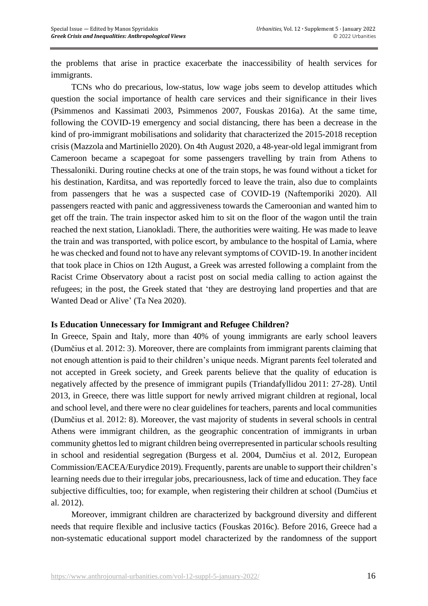the problems that arise in practice exacerbate the inaccessibility of health services for immigrants.

TCNs who do precarious, low-status, low wage jobs seem to develop attitudes which question the social importance of health care services and their significance in their lives (Psimmenos and Kassimati 2003, Psimmenos 2007, Fouskas 2016a). At the same time, following the COVID-19 emergency and social distancing, there has been a decrease in the kind of pro-immigrant mobilisations and solidarity that characterized the 2015-2018 reception crisis (Mazzola and Martiniello 2020). On 4th August 2020, a 48-year-old legal immigrant from Cameroon became a scapegoat for some passengers travelling by train from Athens to Thessaloniki. During routine checks at one of the train stops, he was found without a ticket for his destination, Karditsa, and was reportedly forced to leave the train, also due to complaints from passengers that he was a suspected case of COVID-19 (Naftemporiki 2020). All passengers reacted with panic and aggressiveness towards the Cameroonian and wanted him to get off the train. The train inspector asked him to sit on the floor of the wagon until the train reached the next station, Lianokladi. There, the authorities were waiting. He was made to leave the train and was transported, with police escort, by ambulance to the hospital of Lamia, where he was checked and found not to have any relevant symptoms of COVID-19. In another incident that took place in Chios on 12th August, a Greek was arrested following a complaint from the Racist Crime Observatory about a racist post on social media calling to action against the refugees; in the post, the Greek stated that 'they are destroying land properties and that are Wanted Dead or Alive' (Ta Nea 2020).

#### **Is Education Unnecessary for Immigrant and Refugee Children?**

In Greece, Spain and Italy, more than 40% of young immigrants are early school leavers (Dumčius et al. 2012: 3). Moreover, there are complaints from immigrant parents claiming that not enough attention is paid to their children's unique needs. Migrant parents feel tolerated and not accepted in Greek society, and Greek parents believe that the quality of education is negatively affected by the presence of immigrant pupils (Triandafyllidou 2011: 27-28). Until 2013, in Greece, there was little support for newly arrived migrant children at regional, local and school level, and there were no clear guidelines for teachers, parents and local communities (Dumčius et al. 2012: 8). Moreover, the vast majority of students in several schools in central Athens were immigrant children, as the geographic concentration of immigrants in urban community ghettos led to migrant children being overrepresented in particular schools resulting in school and residential segregation (Burgess et al. 2004, Dumčius et al. 2012, European Commission/EACEA/Eurydice 2019). Frequently, parents are unable to support their children's learning needs due to their irregular jobs, precariousness, lack of time and education. They face subjective difficulties, too; for example, when registering their children at school (Dumčius et al. 2012).

Moreover, immigrant children are characterized by background diversity and different needs that require flexible and inclusive tactics (Fouskas 2016c). Before 2016, Greece had a non-systematic educational support model characterized by the randomness of the support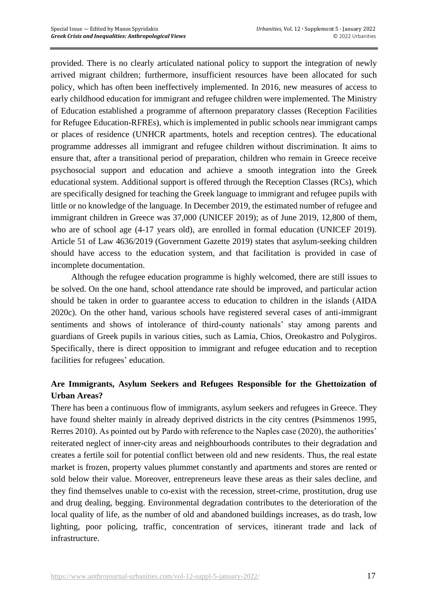provided. There is no clearly articulated national policy to support the integration of newly arrived migrant children; furthermore, insufficient resources have been allocated for such policy, which has often been ineffectively implemented. In 2016, new measures of access to early childhood education for immigrant and refugee children were implemented. The Ministry of Education established a programme of afternoon preparatory classes (Reception Facilities for Refugee Education-RFREs), which is implemented in public schools near immigrant camps or places of residence (UNHCR apartments, hotels and reception centres). The educational programme addresses all immigrant and refugee children without discrimination. It aims to ensure that, after a transitional period of preparation, children who remain in Greece receive psychosocial support and education and achieve a smooth integration into the Greek educational system. Additional support is offered through the Reception Classes (RCs), which are specifically designed for teaching the Greek language to immigrant and refugee pupils with little or no knowledge of the language. In December 2019, the estimated number of refugee and immigrant children in Greece was 37,000 (UNICEF 2019); as of June 2019, 12,800 of them, who are of school age (4-17 years old), are enrolled in formal education (UNICEF 2019). Article 51 of Law 4636/2019 (Government Gazette 2019) states that asylum-seeking children should have access to the education system, and that facilitation is provided in case of incomplete documentation.

Although the refugee education programme is highly welcomed, there are still issues to be solved. On the one hand, school attendance rate should be improved, and particular action should be taken in order to guarantee access to education to children in the islands (AIDA 2020c). On the other hand, various schools have registered several cases of anti-immigrant sentiments and shows of intolerance of third-county nationals' stay among parents and guardians of Greek pupils in various cities, such as Lamia, Chios, Oreokastro and Polygiros. Specifically, there is direct opposition to immigrant and refugee education and to reception facilities for refugees' education.

# **Are Immigrants, Asylum Seekers and Refugees Responsible for the Ghettoization of Urban Areas?**

There has been a continuous flow of immigrants, asylum seekers and refugees in Greece. They have found shelter mainly in already deprived districts in the city centres (Psimmenos 1995, Rerres 2010). As pointed out by Pardo with reference to the Naples case (2020), the authorities' reiterated neglect of inner-city areas and neighbourhoods contributes to their degradation and creates a fertile soil for potential conflict between old and new residents. Thus, the real estate market is frozen, property values plummet constantly and apartments and stores are rented or sold below their value. Moreover, entrepreneurs leave these areas as their sales decline, and they find themselves unable to co-exist with the recession, street-crime, prostitution, drug use and drug dealing, begging. Environmental degradation contributes to the deterioration of the local quality of life, as the number of old and abandoned buildings increases, as do trash, low lighting, poor policing, traffic, concentration of services, itinerant trade and lack of infrastructure.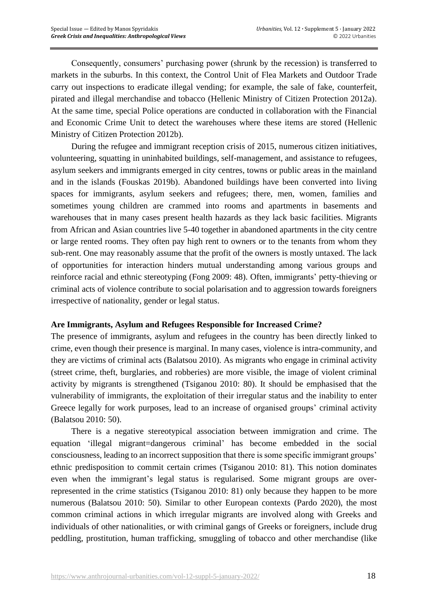Consequently, consumers' purchasing power (shrunk by the recession) is transferred to markets in the suburbs. In this context, the Control Unit of Flea Markets and Outdoor Trade carry out inspections to eradicate illegal vending; for example, the sale of fake, counterfeit, pirated and illegal merchandise and tobacco (Hellenic Ministry of Citizen Protection 2012a). At the same time, special Police operations are conducted in collaboration with the Financial and Economic Crime Unit to detect the warehouses where these items are stored (Hellenic Ministry of Citizen Protection 2012b).

During the refugee and immigrant reception crisis of 2015, numerous citizen initiatives, volunteering, squatting in uninhabited buildings, self-management, and assistance to refugees, asylum seekers and immigrants emerged in city centres, towns or public areas in the mainland and in the islands (Fouskas 2019b). Abandoned buildings have been converted into living spaces for immigrants, asylum seekers and refugees; there, men, women, families and sometimes young children are crammed into rooms and apartments in basements and warehouses that in many cases present health hazards as they lack basic facilities. Migrants from African and Asian countries live 5-40 together in abandoned apartments in the city centre or large rented rooms. They often pay high rent to owners or to the tenants from whom they sub-rent. One may reasonably assume that the profit of the owners is mostly untaxed. The lack of opportunities for interaction hinders mutual understanding among various groups and reinforce racial and ethnic stereotyping (Fong 2009: 48). Often, immigrants' petty-thieving or criminal acts of violence contribute to social polarisation and to aggression towards foreigners irrespective of nationality, gender or legal status.

#### **Are Immigrants, Asylum and Refugees Responsible for Increased Crime?**

The presence of immigrants, asylum and refugees in the country has been directly linked to crime, even though their presence is marginal. In many cases, violence is intra-community, and they are victims of criminal acts (Balatsou 2010). As migrants who engage in criminal activity (street crime, theft, burglaries, and robberies) are more visible, the image of violent criminal activity by migrants is strengthened (Tsiganou 2010: 80). It should be emphasised that the vulnerability of immigrants, the exploitation of their irregular status and the inability to enter Greece legally for work purposes, lead to an increase of organised groups' criminal activity (Balatsou 2010: 50).

There is a negative stereotypical association between immigration and crime. The equation 'illegal migrant=dangerous criminal' has become embedded in the social consciousness, leading to an incorrect supposition that there is some specific immigrant groups' ethnic predisposition to commit certain crimes (Tsiganou 2010: 81). This notion dominates even when the immigrant's legal status is regularised. Some migrant groups are overrepresented in the crime statistics (Tsiganou 2010: 81) only because they happen to be more numerous (Balatsou 2010: 50). Similar to other European contexts (Pardo 2020), the most common criminal actions in which irregular migrants are involved along with Greeks and individuals of other nationalities, or with criminal gangs of Greeks or foreigners, include drug peddling, prostitution, human trafficking, smuggling of tobacco and other merchandise (like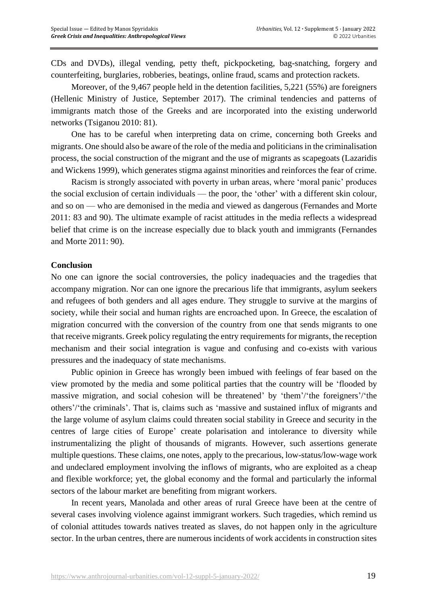CDs and DVDs), illegal vending, petty theft, pickpocketing, bag-snatching, forgery and counterfeiting, burglaries, robberies, beatings, online fraud, scams and protection rackets.

Moreover, of the 9,467 people held in the detention facilities, 5,221 (55%) are foreigners (Hellenic Ministry of Justice, September 2017). The criminal tendencies and patterns of immigrants match those of the Greeks and are incorporated into the existing underworld networks (Tsiganou 2010: 81).

One has to be careful when interpreting data on crime, concerning both Greeks and migrants. One should also be aware of the role of the media and politicians in the criminalisation process, the social construction of the migrant and the use of migrants as scapegoats (Lazaridis and Wickens 1999), which generates stigma against minorities and reinforces the fear of crime.

Racism is strongly associated with poverty in urban areas, where 'moral panic' produces the social exclusion of certain individuals — the poor, the 'other' with a different skin colour, and so on — who are demonised in the media and viewed as dangerous (Fernandes and Morte 2011: 83 and 90). The ultimate example of racist attitudes in the media reflects a widespread belief that crime is on the increase especially due to black youth and immigrants (Fernandes and Morte 2011: 90).

#### **Conclusion**

No one can ignore the social controversies, the policy inadequacies and the tragedies that accompany migration. Nor can one ignore the precarious life that immigrants, asylum seekers and refugees of both genders and all ages endure. They struggle to survive at the margins of society, while their social and human rights are encroached upon. In Greece, the escalation of migration concurred with the conversion of the country from one that sends migrants to one that receive migrants. Greek policy regulating the entry requirements for migrants, the reception mechanism and their social integration is vague and confusing and co-exists with various pressures and the inadequacy of state mechanisms.

Public opinion in Greece has wrongly been imbued with feelings of fear based on the view promoted by the media and some political parties that the country will be 'flooded by massive migration, and social cohesion will be threatened' by 'them'/'the foreigners'/'the others'/'the criminals'. That is, claims such as 'massive and sustained influx of migrants and the large volume of asylum claims could threaten social stability in Greece and security in the centres of large cities of Europe' create polarisation and intolerance to diversity while instrumentalizing the plight of thousands of migrants. However, such assertions generate multiple questions. These claims, one notes, apply to the precarious, low-status/low-wage work and undeclared employment involving the inflows of migrants, who are exploited as a cheap and flexible workforce; yet, the global economy and the formal and particularly the informal sectors of the labour market are benefiting from migrant workers.

In recent years, Manolada and other areas of rural Greece have been at the centre of several cases involving violence against immigrant workers. Such tragedies, which remind us of colonial attitudes towards natives treated as slaves, do not happen only in the agriculture sector. In the urban centres, there are numerous incidents of work accidents in construction sites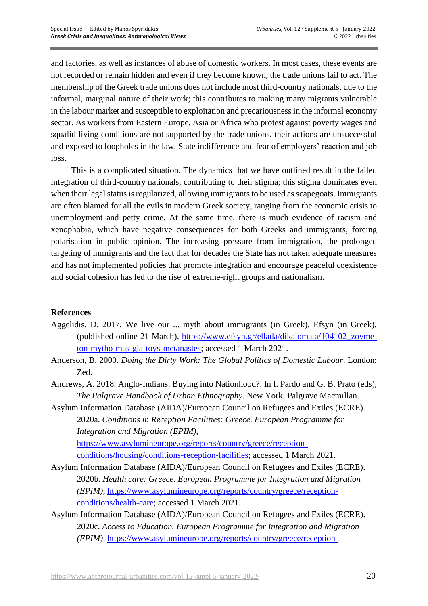and factories, as well as instances of abuse of domestic workers. In most cases, these events are not recorded or remain hidden and even if they become known, the trade unions fail to act. The membership of the Greek trade unions does not include most third-country nationals, due to the informal, marginal nature of their work; this contributes to making many migrants vulnerable in the labour market and susceptible to exploitation and precariousness in the informal economy sector. As workers from Eastern Europe, Asia or Africa who protest against poverty wages and squalid living conditions are not supported by the trade unions, their actions are unsuccessful and exposed to loopholes in the law, State indifference and fear of employers' reaction and job loss.

This is a complicated situation. The dynamics that we have outlined result in the failed integration of third-country nationals, contributing to their stigma; this stigma dominates even when their legal status is regularized, allowing immigrants to be used as scapegoats. Immigrants are often blamed for all the evils in modern Greek society, ranging from the economic crisis to unemployment and petty crime. At the same time, there is much evidence of racism and xenophobia, which have negative consequences for both Greeks and immigrants, forcing polarisation in public opinion. The increasing pressure from immigration, the prolonged targeting of immigrants and the fact that for decades the State has not taken adequate measures and has not implemented policies that promote integration and encourage peaceful coexistence and social cohesion has led to the rise of extreme-right groups and nationalism.

# **References**

- Aggelidis, D. 2017. We live our ... myth about immigrants (in Greek), Efsyn (in Greek), (published online 21 March), [https://www.efsyn.gr/ellada/dikaiomata/104102\\_zoyme](https://www.efsyn.gr/ellada/dikaiomata/104102_zoyme-ton-mytho-mas-gia-toys-metanastes)[ton-mytho-mas-gia-toys-metanastes;](https://www.efsyn.gr/ellada/dikaiomata/104102_zoyme-ton-mytho-mas-gia-toys-metanastes) accessed 1 March 2021.
- Anderson, B. 2000. *Doing the Dirty Work: The Global Politics of Domestic Labour*. London: Zed.
- Andrews, A. 2018. Anglo-Indians: Buying into Nationhood?. In I. Pardo and G. B. Prato (eds), *The Palgrave Handbook of Urban Ethnography*. New York: Palgrave Macmillan.
- Asylum Information Database (AIDA)/European Council on Refugees and Exiles (ECRE). 2020a. *Conditions in Reception Facilities: Greece. European Programme for Integration and Migration (EPIM)*, [https://www.asylumineurope.org/reports/country/greece/reception-](https://www.asylumineurope.org/reports/country/greece/reception-conditions/housing/conditions-reception-facilities)

[conditions/housing/conditions-reception-facilities;](https://www.asylumineurope.org/reports/country/greece/reception-conditions/housing/conditions-reception-facilities) accessed 1 March 2021.

- Asylum Information Database (AIDA)/European Council on Refugees and Exiles (ECRE). 2020b. *Health care: Greece. European Programme for Integration and Migration (EPIM)*, [https://www.asylumineurope.org/reports/country/greece/reception](https://www.asylumineurope.org/reports/country/greece/reception-conditions/health-care)[conditions/health-care;](https://www.asylumineurope.org/reports/country/greece/reception-conditions/health-care) accessed 1 March 2021.
- Asylum Information Database (AIDA)/European Council on Refugees and Exiles (ECRE). 2020c. *Access to Education. European Programme for Integration and Migration (EPIM)*, [https://www.asylumineurope.org/reports/country/greece/reception-](https://www.asylumineurope.org/reports/country/greece/reception-conditions/employment-and-education/access-education)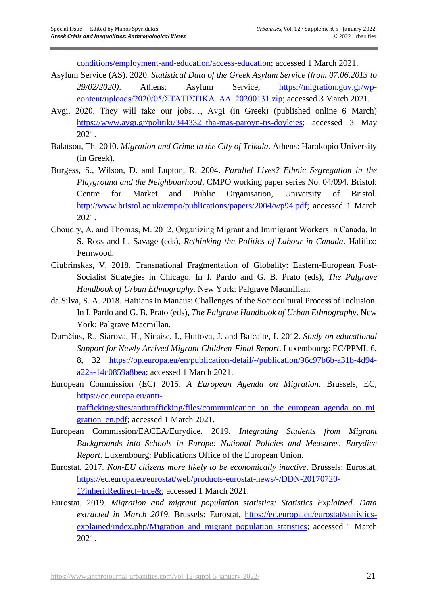[conditions/employment-and-education/access-education;](https://www.asylumineurope.org/reports/country/greece/reception-conditions/employment-and-education/access-education) accessed 1 March 2021.

- Asylum Service (AS). 2020. *Statistical Data of the Greek Asylum Service (from 07.06.2013 to 29/02/2020)*. Athens: Asylum Service, [https://migration.gov.gr/wp](https://migration.gov.gr/wp-content/uploads/2020/05/ΣΤΑΤΙΣΤΙΚΑ_ΑΔ_20200131.zip)[content/uploads/2020/05/ΣΤΑΤΙΣΤΙΚΑ\\_ΑΔ\\_20200131.zip;](https://migration.gov.gr/wp-content/uploads/2020/05/ΣΤΑΤΙΣΤΙΚΑ_ΑΔ_20200131.zip) accessed 3 March 2021.
- Avgi. 2020. They will take our jobs…, Avgi (in Greek) (published online 6 March) [https://www.avgi.gr/politiki/344332\\_tha-mas-paroyn-tis-doyleies;](https://www.avgi.gr/politiki/344332_tha-mas-paroyn-tis-doyleies) accessed 3 May 2021.
- Balatsou, Th. 2010. *Migration and Crime in the City of Trikala*. Athens: Harokopio University (in Greek).
- Burgess, S., Wilson, D. and Lupton, R. 2004. *Parallel Lives? Ethnic Segregation in the Playground and the Neighbourhood*. CMPO working paper series No. 04/094. Bristol: Centre for Market and Public Organisation, University of Bristol. [http://www.bristol.ac.uk/cmpo/publications/papers/2004/wp94.pdf;](http://www.bristol.ac.uk/cmpo/publications/papers/2004/wp94.pdf) accessed 1 March 2021.
- Choudry, Α. and Thomas, M. 2012. Organizing Migrant and Immigrant Workers in Canada. In S. Ross and L. Savage (eds), *Rethinking the Politics of Labour in Canada*. Halifax: Fernwood.
- Ciubrinskas, V. 2018. Transnational Fragmentation of Globality: Eastern-European Post-Socialist Strategies in Chicago. In I. Pardo and G. B. Prato (eds), *The Palgrave Handbook of Urban Ethnography*. New York: Palgrave Macmillan.
- da Silva, S. A. 2018. Haitians in Manaus: Challenges of the Sociocultural Process of Inclusion. In I. Pardo and G. B. Prato (eds), *The Palgrave Handbook of Urban Ethnography*. New York: Palgrave Macmillan.
- Dumčius, R., Siarova, H., Nicaise, I., Huttova, J. and Balcaite, I. 2012. *Study on educational Support for Newly Arrived Migrant Children-Final Report*. Luxembourg: EC/PPMI, 6, 8, 32 [https://op.europa.eu/en/publication-detail/-/publication/96c97b6b-a31b-4d94](https://op.europa.eu/en/publication-detail/-/publication/96c97b6b-a31b-4d94-a22a-14c0859a8bea) [a22a-14c0859a8bea;](https://op.europa.eu/en/publication-detail/-/publication/96c97b6b-a31b-4d94-a22a-14c0859a8bea) accessed 1 March 2021.
- European Commission (EC) 2015. *A European Agenda on Migration*. Brussels, EC, [https://ec.europa.eu/anti](https://ec.europa.eu/anti-trafficking/sites/antitrafficking/files/communication_on_the_european_agenda_on_migration_en.pdf)[trafficking/sites/antitrafficking/files/communication\\_on\\_the\\_european\\_agenda\\_on\\_mi](https://ec.europa.eu/anti-trafficking/sites/antitrafficking/files/communication_on_the_european_agenda_on_migration_en.pdf) [gration\\_en.pdf;](https://ec.europa.eu/anti-trafficking/sites/antitrafficking/files/communication_on_the_european_agenda_on_migration_en.pdf) accessed 1 March 2021.
- European Commission/EACEA/Eurydice. 2019. *Integrating Students from Migrant Backgrounds into Schools in Europe: National Policies and Measures. Eurydice Report*. Luxembourg: Publications Office of the European Union.
- Eurostat. 2017. *Non-EU citizens more likely to be economically inactive*. Brussels: Eurostat, [https://ec.europa.eu/eurostat/web/products-eurostat-news/-/DDN-20170720-](https://ec.europa.eu/eurostat/web/products-eurostat-news/-/DDN-20170720-1?inheritRedirect=true&) [1?inheritRedirect=true&;](https://ec.europa.eu/eurostat/web/products-eurostat-news/-/DDN-20170720-1?inheritRedirect=true&) accessed 1 March 2021.
- Eurostat. 2019. *Migration and migrant population statistics: Statistics Explained. Data extracted in March 2019*. Brussels: Eurostat, [https://ec.europa.eu/eurostat/statistics](https://ec.europa.eu/eurostat/statistics-explained/index.php/Migration_and_migrant_population_statistics)[explained/index.php/Migration\\_and\\_migrant\\_population\\_statistics;](https://ec.europa.eu/eurostat/statistics-explained/index.php/Migration_and_migrant_population_statistics) accessed 1 March 2021.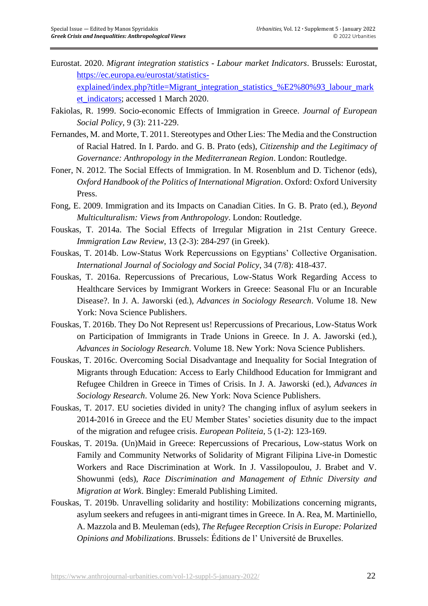Eurostat. 2020. *Migrant integration statistics - Labour market Indicators*. Brussels: Eurostat, [https://ec.europa.eu/eurostat/statistics](https://ec.europa.eu/eurostat/statistics-explained/index.php?title=Migrant_integration_statistics_%E2%80%93_labour_market_indicators)[explained/index.php?title=Migrant\\_integration\\_statistics\\_%E2%80%93\\_labour\\_mark](https://ec.europa.eu/eurostat/statistics-explained/index.php?title=Migrant_integration_statistics_%E2%80%93_labour_market_indicators)

et indicators; accessed 1 March 2020.

- Fakiolas, R. 1999. Socio-economic Effects of Immigration in Greece. *Journal of European Social Policy*, 9 (3): 211-229.
- Fernandes, M. and Morte, T. 2011. Stereotypes and Other Lies: The Media and the Construction of Racial Hatred. In I. Pardo. and G. B. Prato (eds), *Citizenship and the Legitimacy of Governance: Anthropology in the Mediterranean Region*. London: Routledge.
- Foner, N. 2012. The Social Effects of Immigration. In Μ. Rosenblum and D. Tichenor (eds), *Oxford Handbook of the Politics of International Migration*. Oxford: Oxford University Press.
- Fong, E. 2009. Immigration and its Impacts on Canadian Cities. In G. B. Prato (ed.), *Beyond Multiculturalism: Views from Anthropology*. London: Routledge.
- Fouskas, T. 2014a. The Social Effects of Irregular Migration in 21st Century Greece. *Immigration Law Review*, 13 (2-3): 284-297 (in Greek).
- Fouskas, T. 2014b. Low-Status Work Repercussions on Egyptians' Collective Organisation. *International Journal of Sociology and Social Policy*, 34 (7/8): 418-437.
- Fouskas, T. 2016a. Repercussions of Precarious, Low-Status Work Regarding Access to Healthcare Services by Immigrant Workers in Greece: Seasonal Flu or an Incurable Disease?. In J. A. Jaworski (ed.), *Advances in Sociology Research*. Volume 18. New York: Nova Science Publishers.
- Fouskas, T. 2016b. They Do Not Represent us! Repercussions of Precarious, Low-Status Work on Participation of Immigrants in Trade Unions in Greece. In J. A. Jaworski (ed.), *Advances in Sociology Research*. Volume 18. New York: Nova Science Publishers.
- Fouskas, T. 2016c. Overcoming Social Disadvantage and Inequality for Social Integration of Migrants through Education: Access to Early Childhood Education for Immigrant and Refugee Children in Greece in Times of Crisis. In J. A. Jaworski (ed.), *Advances in Sociology Research*. Volume 26. New York: Nova Science Publishers.
- Fouskas, T. 2017. EU societies divided in unity? The changing influx of asylum seekers in 2014-2016 in Greece and the EU Member States' societies disunity due to the impact of the migration and refugee crisis. *European Politeia*, 5 (1-2): 123-169.
- Fouskas, T. 2019a. (Un)Maid in Greece: Repercussions of Precarious, Low-status Work on Family and Community Networks of Solidarity of Migrant Filipina Live-in Domestic Workers and Race Discrimination at Work. In J. Vassilopoulou, J. Brabet and V. Showunmi (eds), *Race Discrimination and Management of Ethnic Diversity and Migration at Work*. Bingley: Emerald Publishing Limited.
- Fouskas, T. 2019b. Unravelling solidarity and hostility: Mobilizations concerning migrants, asylum seekers and refugees in anti-migrant times in Greece. In A. Rea, M. Martiniello, A. Mazzola and B. Meuleman (eds), *The Refugee Reception Crisis in Europe: Polarized Opinions and Mobilizations*. Brussels: Éditions de l' Université de Bruxelles.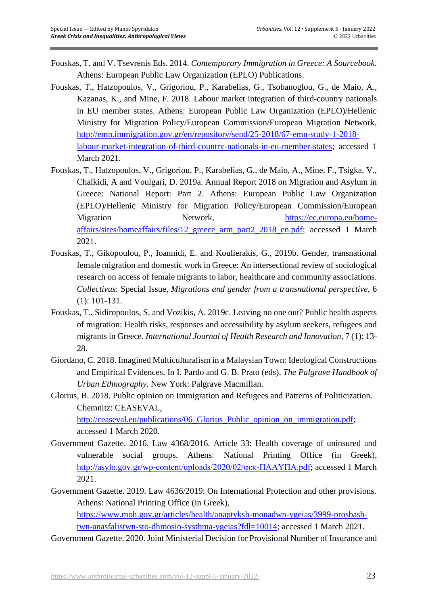- Fouskas, T. and V. Tsevrenis Eds. 2014. *Contemporary Immigration in Greece: A Sourcebook*. Athens: European Public Law Organization (EPLO) Publications.
- Fouskas, T., Hatzopoulos, V., Grigoriou, P., Karabelias, G., Tsobanoglou, G., de Maio, A., Kazanas, K., and Mine, F. 2018. Labour market integration of third-country nationals in EU member states. Athens: European Public Law Organization (EPLO)/Hellenic Ministry for Migration Policy/European Commission/European Migration Network, [http://emn.immigration.gov.gr/en/repository/send/25-2018/67-emn-study-1-2018](http://emn.immigration.gov.gr/en/repository/send/25-2018/67-emn-study-1-2018-labour-market-integration-of-third-country-nationals-in-eu-member-states) [labour-market-integration-of-third-country-nationals-in-eu-member-states;](http://emn.immigration.gov.gr/en/repository/send/25-2018/67-emn-study-1-2018-labour-market-integration-of-third-country-nationals-in-eu-member-states) accessed 1 March 2021.
- Fouskas, T., Hatzopoulos, V., Grigoriou, P., Karabelias, G., de Maio, A., Mine, F., Tsigka, V., Chalkidi, A and Voulgari, D. 2019a. Annual Report 2018 on Migration and Asylum in Greece: National Report: Part 2. Athens: European Public Law Organization (EPLO)/Hellenic Ministry for Migration Policy/European Commission/European Migration Network, [https://ec.europa.eu/home](https://ec.europa.eu/home-affairs/sites/homeaffairs/files/12_greece_arm_part2_2018_en.pdf)[affairs/sites/homeaffairs/files/12\\_greece\\_arm\\_part2\\_2018\\_en.pdf;](https://ec.europa.eu/home-affairs/sites/homeaffairs/files/12_greece_arm_part2_2018_en.pdf) accessed 1 March 2021.
- Fouskas, T., Gikopoulou, P., Ioannidi, E. and Koulierakis, G., 2019b. Gender, transnational female migration and domestic work in Greece: An intersectional review of sociological research on access of female migrants to labor, healthcare and community associations. *Collectivus*: Special Issue, *Migrations and gender from a transnational perspective*, 6 (1): 101-131.
- Fouskas, T., Sidiropoulos, S. and Vozikis, A. 2019c. Leaving no one out? Public health aspects of migration: Health risks, responses and accessibility by asylum seekers, refugees and migrants in Greece. *International Journal of Health Research and Innovation*, 7 (1): 13- 28.
- Giordano, C. 2018. Imagined Multiculturalism in a Malaysian Town: Ideological Constructions and Empirical Evidences. In I. Pardo and G. B. Prato (eds), *The Palgrave Handbook of Urban Ethnography*. New York: Palgrave Macmillan.
- Glorius, B. 2018. Public opinion on Immigration and Refugees and Patterns of Politicization. Chemnitz: CEASEVAL,

[http://ceaseval.eu/publications/06\\_Glorius\\_Public\\_opinion\\_on\\_immigration.pdf;](http://ceaseval.eu/publications/06_Glorius_Public_opinion_on_immigration.pdf) accessed 1 March 2020.

- Government Gazette. 2016. Law 4368/2016. Article 33: Health coverage of uninsured and vulnerable social groups. Athens: National Printing Office (in Greek), [http://asylo.gov.gr/wp-content/uploads/2020/02/φεκ-ΠΑΑΥΠΑ.pdf;](http://asylo.gov.gr/wp-content/uploads/2020/02/φεκ-ΠΑΑΥΠΑ.pdf) accessed 1 March 2021.
- Government Gazette. 2019. Law 4636/2019: On International Protection and other provisions. Athens: National Printing Office (in Greek), [https://www.moh.gov.gr/articles/health/anaptyksh-monadwn-ygeias/3999-prosbash](https://www.moh.gov.gr/articles/health/anaptyksh-monadwn-ygeias/3999-prosbash-twn-anasfalistwn-sto-dhmosio-systhma-ygeias?fdl=10014)[twn-anasfalistwn-sto-dhmosio-systhma-ygeias?fdl=10014;](https://www.moh.gov.gr/articles/health/anaptyksh-monadwn-ygeias/3999-prosbash-twn-anasfalistwn-sto-dhmosio-systhma-ygeias?fdl=10014) accessed 1 March 2021.
- Government Gazette. 2020. Joint Ministerial Decision for Provisional Number of Insurance and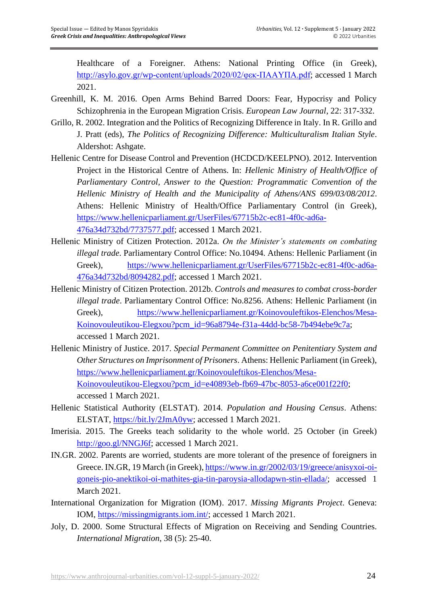Healthcare of a Foreigner. Athens: National Printing Office (in Greek), [http://asylo.gov.gr/wp-content/uploads/2020/02/φεκ-ΠΑΑΥΠΑ.pdf;](http://asylo.gov.gr/wp-content/uploads/2020/02/φεκ-ΠΑΑΥΠΑ.pdf) accessed 1 March 2021.

- Greenhill, K. M. 2016. Open Arms Behind Barred Doors: Fear, Hypocrisy and Policy Schizophrenia in the European Migration Crisis. *European Law Journal*, 22: 317-332.
- Grillo, R. 2002. Integration and the Politics of Recognizing Difference in Italy. In R. Grillo and J. Pratt (eds), *The Politics of Recognizing Difference: Multiculturalism Italian Style*. Aldershot: Ashgate.
- Hellenic Centre for Disease Control and Prevention (HCDCD/KEELPNO). 2012. Intervention Project in the Historical Centre of Athens. In: *Hellenic Ministry of Health/Office of Parliamentary Control, Answer to the Question: Programmatic Convention of the Hellenic Ministry of Health and the Municipality of Athens/ANS 699/03/08/2012*. Athens: Hellenic Ministry of Health/Office Parliamentary Control (in Greek), [https://www.hellenicparliament.gr/UserFiles/67715b2c-ec81-4f0c-ad6a-](https://www.hellenicparliament.gr/UserFiles/67715b2c-ec81-4f0c-ad6a-476a34d732bd/7737577.pdf)[476a34d732bd/7737577.pdf;](https://www.hellenicparliament.gr/UserFiles/67715b2c-ec81-4f0c-ad6a-476a34d732bd/7737577.pdf) accessed 1 March 2021.
- Hellenic Ministry of Citizen Protection. 2012a. *On the Minister's statements on combating illegal trade*. Parliamentary Control Office: No.10494. Athens: Hellenic Parliament (in Greek), [https://www.hellenicparliament.gr/UserFiles/67715b2c-ec81-4f0c-ad6a-](https://www.hellenicparliament.gr/UserFiles/67715b2c-ec81-4f0c-ad6a-476a34d732bd/8094282.pdf)[476a34d732bd/8094282.pdf;](https://www.hellenicparliament.gr/UserFiles/67715b2c-ec81-4f0c-ad6a-476a34d732bd/8094282.pdf) accessed 1 March 2021.
- Hellenic Ministry of Citizen Protection. 2012b. *Controls and measures to combat cross-border illegal trade*. Parliamentary Control Office: No.8256. Athens: Hellenic Parliament (in Greek), [https://www.hellenicparliament.gr/Koinovouleftikos-Elenchos/Mesa-](https://www.hellenicparliament.gr/Koinovouleftikos-Elenchos/Mesa-Koinovouleutikou-Elegxou?pcm_id=96a8794e-f31a-44dd-bc58-7b494ebe9c7a)[Koinovouleutikou-Elegxou?pcm\\_id=96a8794e-f31a-44dd-bc58-7b494ebe9c7a;](https://www.hellenicparliament.gr/Koinovouleftikos-Elenchos/Mesa-Koinovouleutikou-Elegxou?pcm_id=96a8794e-f31a-44dd-bc58-7b494ebe9c7a) accessed 1 March 2021.
- Hellenic Ministry of Justice. 2017. *Special Permanent Committee on Penitentiary System and Other Structures on Imprisonment of Prisoners*. Athens: Hellenic Parliament (in Greek), [https://www.hellenicparliament.gr/Koinovouleftikos-Elenchos/Mesa-](https://www.hellenicparliament.gr/Koinovouleftikos-Elenchos/Mesa-Koinovouleutikou-Elegxou?pcm_id=e40893eb-fb69-47bc-8053-a6ce001f22f0)[Koinovouleutikou-Elegxou?pcm\\_id=e40893eb-fb69-47bc-8053-a6ce001f22f0;](https://www.hellenicparliament.gr/Koinovouleftikos-Elenchos/Mesa-Koinovouleutikou-Elegxou?pcm_id=e40893eb-fb69-47bc-8053-a6ce001f22f0) accessed 1 March 2021.
- Hellenic Statistical Authority (ELSTAT). 2014. *Population and Housing Census*. Athens: ELSTAT, [https://bit.ly/2JmA0yw;](https://bit.ly/2JmA0yw) accessed 1 March 2021.
- Imerisia. 2015. The Greeks teach solidarity to the whole world. 25 October (in Greek) [http://goo.gl/NNGJ6f;](http://goo.gl/NNGJ6f) accessed 1 March 2021.
- IN.GR. 2002. Parents are worried, students are more tolerant of the presence of foreigners in Greece. IN.GR, 19 March (in Greek), [https://www.in.gr/2002/03/19/greece/anisyxoi-oi](https://www.in.gr/2002/03/19/greece/anisyxoi-oi-goneis-pio-anektikoi-oi-mathites-gia-tin-paroysia-allodapwn-stin-ellada/)[goneis-pio-anektikoi-oi-mathites-gia-tin-paroysia-allodapwn-stin-ellada/;](https://www.in.gr/2002/03/19/greece/anisyxoi-oi-goneis-pio-anektikoi-oi-mathites-gia-tin-paroysia-allodapwn-stin-ellada/) accessed 1 March 2021.
- International Organization for Migration (IOM). 2017. *Missing Migrants Project*. Geneva: IOM, [https://missingmigrants.iom.int/;](https://missingmigrants.iom.int/) accessed 1 March 2021.
- Joly, D. 2000. Some Structural Effects of Migration on Receiving and Sending Countries. *International Migration*, 38 (5): 25-40.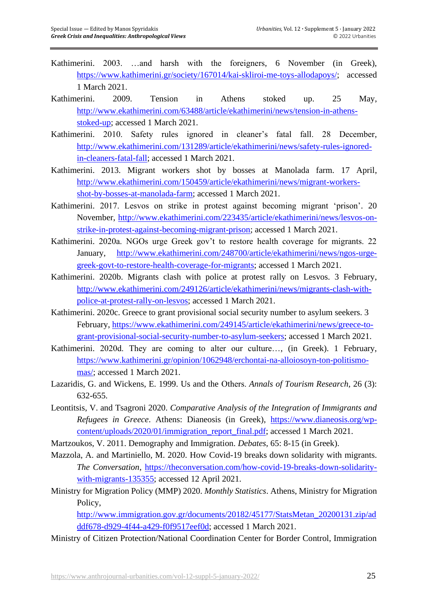- Kathimerini. 2003. …and harsh with the foreigners, 6 November (in Greek), [https://www.kathimerini.gr/society/167014/kai-skliroi-me-toys-allodapoys/;](https://www.kathimerini.gr/society/167014/kai-skliroi-me-toys-allodapoys/) accessed 1 March 2021.
- Kathimerini. 2009. Tension in Athens stoked up. 25 May, [http://www.ekathimerini.com/63488/article/ekathimerini/news/tension-in-athens](http://www.ekathimerini.com/63488/article/ekathimerini/news/tension-in-athens-stoked-up)[stoked-up;](http://www.ekathimerini.com/63488/article/ekathimerini/news/tension-in-athens-stoked-up) accessed 1 March 2021.
- Kathimerini. 2010. Safety rules ignored in cleaner's fatal fall. 28 December, [http://www.ekathimerini.com/131289/article/ekathimerini/news/safety-rules-ignored](http://www.ekathimerini.com/131289/article/ekathimerini/news/safety-rules-ignored-in-cleaners-fatal-fall)[in-cleaners-fatal-fall;](http://www.ekathimerini.com/131289/article/ekathimerini/news/safety-rules-ignored-in-cleaners-fatal-fall) accessed 1 March 2021.
- Kathimerini. 2013. Migrant workers shot by bosses at Manolada farm. 17 April, [http://www.ekathimerini.com/150459/article/ekathimerini/news/migrant-workers](http://www.ekathimerini.com/150459/article/ekathimerini/news/migrant-workers-shot-by-bosses-at-manolada-farm)[shot-by-bosses-at-manolada-farm;](http://www.ekathimerini.com/150459/article/ekathimerini/news/migrant-workers-shot-by-bosses-at-manolada-farm) accessed 1 March 2021.
- Kathimerini. 2017. Lesvos on strike in protest against becoming migrant 'prison'. 20 November, [http://www.ekathimerini.com/223435/article/ekathimerini/news/lesvos-on](http://www.ekathimerini.com/223435/article/ekathimerini/news/lesvos-on-strike-in-protest-against-becoming-migrant-prison)[strike-in-protest-against-becoming-migrant-prison;](http://www.ekathimerini.com/223435/article/ekathimerini/news/lesvos-on-strike-in-protest-against-becoming-migrant-prison) accessed 1 March 2021.
- Kathimerini. 2020a. NGOs urge Greek gov't to restore health coverage for migrants. 22 January, [http://www.ekathimerini.com/248700/article/ekathimerini/news/ngos-urge](http://www.ekathimerini.com/248700/article/ekathimerini/news/ngos-urge-greek-govt-to-restore-health-coverage-for-migrants)[greek-govt-to-restore-health-coverage-for-migrants;](http://www.ekathimerini.com/248700/article/ekathimerini/news/ngos-urge-greek-govt-to-restore-health-coverage-for-migrants) accessed 1 March 2021.
- Kathimerini. 2020b. Migrants clash with police at protest rally on Lesvos. 3 February, [http://www.ekathimerini.com/249126/article/ekathimerini/news/migrants-clash-with](http://www.ekathimerini.com/249126/article/ekathimerini/news/migrants-clash-with-police-at-protest-rally-on-lesvos)[police-at-protest-rally-on-lesvos;](http://www.ekathimerini.com/249126/article/ekathimerini/news/migrants-clash-with-police-at-protest-rally-on-lesvos) accessed 1 March 2021.
- Kathimerini. 2020c. Greece to grant provisional social security number to asylum seekers. 3 February, [https://www.ekathimerini.com/249145/article/ekathimerini/news/greece-to](https://www.ekathimerini.com/249145/article/ekathimerini/news/greece-to-grant-provisional-social-security-number-to-asylum-seekers)[grant-provisional-social-security-number-to-asylum-seekers;](https://www.ekathimerini.com/249145/article/ekathimerini/news/greece-to-grant-provisional-social-security-number-to-asylum-seekers) accessed 1 March 2021.
- Kathimerini. 2020d. They are coming to alter our culture…, (in Greek). 1 February, [https://www.kathimerini.gr/opinion/1062948/erchontai-na-alloiosoyn-ton-politismo](https://www.kathimerini.gr/opinion/1062948/erchontai-na-alloiosoyn-ton-politismo-mas/)[mas/;](https://www.kathimerini.gr/opinion/1062948/erchontai-na-alloiosoyn-ton-politismo-mas/) accessed 1 March 2021.
- Lazaridis, G. and Wickens, E. 1999. Us and the Οthers. *Annals of Tourism Research*, 26 (3): 632-655.
- Leontitsis, V. and Tsagroni 2020. *Comparative Analysis of the Integration of Immigrants and Refugees in Greece*. Athens: Dianeosis (in Greek), [https://www.dianeosis.org/wp](https://www.dianeosis.org/wp-content/uploads/2020/01/immigration_report_final.pdf)[content/uploads/2020/01/immigration\\_report\\_final.pdf;](https://www.dianeosis.org/wp-content/uploads/2020/01/immigration_report_final.pdf) accessed 1 March 2021.
- Martzoukos, V. 2011. Demography and Immigration. *Debates*, 65: 8-15 (in Greek).
- Mazzola, A. and Martiniello, M. 2020. How Covid-19 breaks down solidarity with migrants. *The Conversation*, [https://theconversation.com/how-covid-19-breaks-down-solidarity](https://theconversation.com/how-covid-19-breaks-down-solidarity-with-migrants-135355)[with-migrants-135355;](https://theconversation.com/how-covid-19-breaks-down-solidarity-with-migrants-135355) accessed 12 April 2021.
- Ministry for Migration Policy (MMP) 2020. *Monthly Statistics*. Athens, Ministry for Migration Policy,

[http://www.immigration.gov.gr/documents/20182/45177/StatsMetan\\_20200131.zip/ad](http://www.immigration.gov.gr/documents/20182/45177/StatsMetan_20200131.zip/adddf678-d929-4f44-a429-f0f9517eef0d) [ddf678-d929-4f44-a429-f0f9517eef0d;](http://www.immigration.gov.gr/documents/20182/45177/StatsMetan_20200131.zip/adddf678-d929-4f44-a429-f0f9517eef0d) accessed 1 March 2021.

Ministry of Citizen Protection/National Coordination Center for Border Control, Immigration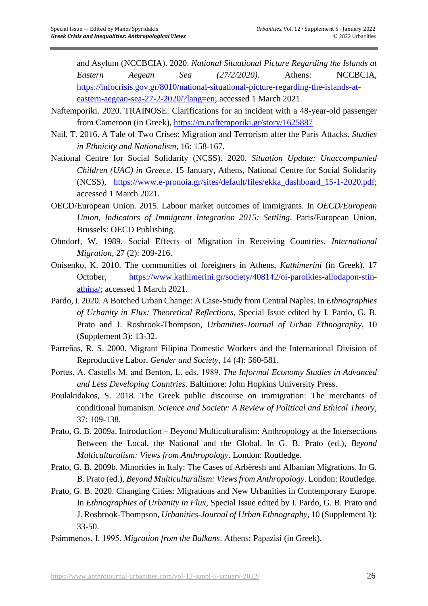and Asylum (NCCBCIA). 2020. *National Situational Picture Regarding the Islands at Eastern Aegean Sea (27/2/2020)*. Athens: NCCBCIA, [https://infocrisis.gov.gr/8010/national-situational-picture-regarding-the-islands-at](https://infocrisis.gov.gr/8010/national-situational-picture-regarding-the-islands-at-eastern-aegean-sea-27-2-2020/?lang=en)[eastern-aegean-sea-27-2-2020/?lang=en;](https://infocrisis.gov.gr/8010/national-situational-picture-regarding-the-islands-at-eastern-aegean-sea-27-2-2020/?lang=en) accessed 1 March 2021.

- Naftemporiki. 2020. TRAINOSE: Clarifications for an incident with a 48-year-old passenger from Cameroon (in Greek), <https://m.naftemporiki.gr/story/1625887>
- Nail, T. 2016. A Tale of Two Crises: Migration and Terrorism after the Paris Attacks. *Studies in Ethnicity and Nationalism*, 16: 158-167.
- National Centre for Social Solidarity (NCSS). 2020. *Situation Update: Unaccompanied Children (UAC) in Greece*. 15 January, Athens, National Centre for Social Solidarity (NCSS), [https://www.e-pronoia.gr/sites/default/files/ekka\\_dashboard\\_15-1-2020.pdf;](https://www.e-pronoia.gr/sites/default/files/ekka_dashboard_15-1-2020.pdf) accessed 1 March 2021.
- OECD/European Union. 2015. Labour market outcomes of immigrants. In *OECD/European Union, Indicators of Immigrant Integration 2015: Settling*. Paris/European Union, Brussels: OECD Publishing.
- Ohndorf, W. 1989. Social Effects of Migration in Receiving Countries. *International Migration*, 27 (2): 209-216.
- Onisenko, K. 2010. The communities of foreigners in Athens, *Kathimerini* (in Greek). 17 October, [https://www.kathimerini.gr/society/408142/oi-paroikies-allodapon-stin](https://www.kathimerini.gr/society/408142/oi-paroikies-allodapon-stin-athina/)[athina/;](https://www.kathimerini.gr/society/408142/oi-paroikies-allodapon-stin-athina/) accessed 1 March 2021.
- Pardo, I. 2020. A Botched Urban Change: A Case-Study from Central Naples. In *Ethnographies of Urbanity in Flux: Theoretical Reflections*, Special Issue edited by I. Pardo, G. B. Prato and J. Rosbrook-Thompson, *Urbanities-Journal of Urban Ethnography*, 10 (Supplement 3): 13-32.
- Parreñas, R. S. 2000. Migrant Filipina Domestic Workers and the International Division of Reproductive Labor. *Gender and Society*, 14 (4): 560-581.
- Portes, Α. Castells M. and Benton, L. eds. 1989. *The Informal Economy Studies in Advanced and Less Developing Countries*. Baltimore: John Hopkins University Press.
- Poulakidakos, S. 2018. The Greek public discourse on immigration: The merchants of conditional humanism. *Science and Society: A Review of Political and Ethical Theory*, 37: 109-138.
- Prato, G. B. 2009a. Introduction Beyond Multiculturalism: Anthropology at the Intersections Between the Local, the National and the Global. In G. B. Prato (ed.), *Beyond Multiculturalism: Views from Anthropology*. London: Routledge.
- Prato, G. B. 2009b. Minorities in Italy: The Cases of Arbëresh and Albanian Migrations. In G. B. Prato (ed.), *Beyond Multiculturalism: Views from Anthropology*. London: Routledge.
- Prato, G. B. 2020. Changing Cities: Migrations and New Urbanities in Contemporary Europe. In *Ethnographies of Urbanity in Flux*, Special Issue edited by I. Pardo, G. B. Prato and J. Rosbrook-Thompson, *Urbanities-Journal of Urban Ethnography*, 10 (Supplement 3): 33-50.
- Psimmenos, Ι. 1995. *Migration from the Balkans*. Athens: Papazisi (in Greek).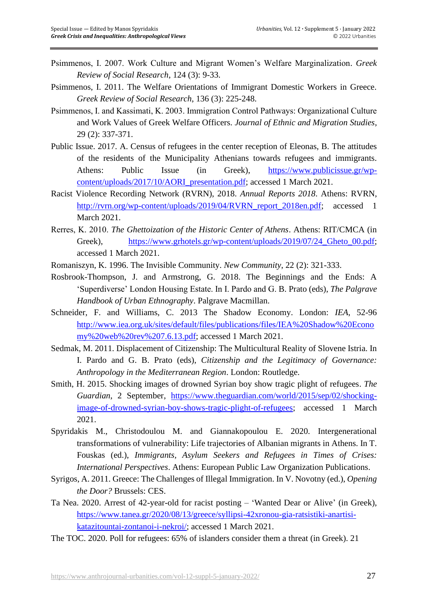- Psimmenos, I. 2007. Work Culture and Migrant Women's Welfare Marginalization. *Greek Review of Social Research*, 124 (3): 9-33.
- Psimmenos, I. 2011. The Welfare Orientations of Immigrant Domestic Workers in Greece. *Greek Review of Social Research*, 136 (3): 225-248.
- Psimmenos, I. and Kassimati, Κ. 2003. Immigration Control Pathways: Organizational Culture and Work Values of Greek Welfare Officers. *Journal of Ethnic and Migration Studies*, 29 (2): 337-371.
- Public Issue. 2017. A. Census of refugees in the center reception of Eleonas, B. The attitudes of the residents of the Municipality Athenians towards refugees and immigrants. Athens: Public Issue (in Greek), [https://www.publicissue.gr/wp](https://www.publicissue.gr/wp-content/uploads/2017/10/AORI_presentation.pdf)[content/uploads/2017/10/AORI\\_presentation.pdf;](https://www.publicissue.gr/wp-content/uploads/2017/10/AORI_presentation.pdf) accessed 1 March 2021.
- Racist Violence Recording Network (RVRN), 2018. *Annual Reports 2018*. Athens: RVRN, [http://rvrn.org/wp-content/uploads/2019/04/RVRN\\_report\\_2018en.pdf;](http://rvrn.org/wp-content/uploads/2019/04/RVRN_report_2018en.pdf) accessed 1 March 2021.
- Rerres, Κ. 2010. *The Ghettoization of the Historic Center of Athens*. Athens: RIT/CMCA (in Greek), https://www.grhotels.gr/wp-content/uploads/2019/07/24 Gheto 00.pdf; accessed 1 March 2021.
- Romaniszyn, K. 1996. The Invisible Community. *New Community*, 22 (2): 321-333.
- Rosbrook-Thompson, J. and Armstrong, G. 2018. The Beginnings and the Ends: A 'Superdiverse' London Housing Estate. In I. Pardo and G. B. Prato (eds), *The Palgrave Handbook of Urban Ethnography*. Palgrave Macmillan.
- Schneider, F. and Williams, C. 2013 The Shadow Economy. London: *IEA*, 52-96 [http://www.iea.org.uk/sites/default/files/publications/files/IEA%20Shadow%20Econo](http://www.iea.org.uk/sites/default/files/publications/files/IEA%20Shadow%20Economy%20web%20rev%207.6.13.pdf) [my%20web%20rev%207.6.13.pdf;](http://www.iea.org.uk/sites/default/files/publications/files/IEA%20Shadow%20Economy%20web%20rev%207.6.13.pdf) accessed 1 March 2021.
- Sedmak, M. 2011. Displacement of Citizenship: The Multicultural Reality of Slovene Istria. In I. Pardo and G. B. Prato (eds), *Citizenship and the Legitimacy of Governance: Anthropology in the Mediterranean Region*. London: Routledge.
- Smith, H. 2015. Shocking images of drowned Syrian boy show tragic plight of refugees. *The Guardian*, 2 September, [https://www.theguardian.com/world/2015/sep/02/shocking](https://www.theguardian.com/world/2015/sep/02/shocking-image-of-drowned-syrian-boy-shows-tragic-plight-of-refugees)[image-of-drowned-syrian-boy-shows-tragic-plight-of-refugees;](https://www.theguardian.com/world/2015/sep/02/shocking-image-of-drowned-syrian-boy-shows-tragic-plight-of-refugees) accessed 1 March 2021.
- Spyridakis M., Christodoulou M. and Giannakopoulou E. 2020. Intergenerational transformations of vulnerability: Life trajectories of Albanian migrants in Athens. In T. Fouskas (ed.), *Immigrants, Asylum Seekers and Refugees in Times of Crises: International Perspectives*. Athens: European Public Law Organization Publications.
- Syrigos, A. 2011. Greece: The Challenges of Illegal Immigration. In V. Novotny (ed.), *Opening the Door?* Brussels: CES.
- Ta Nea. 2020. Arrest of 42-year-old for racist posting 'Wanted Dear or Alive' (in Greek), [https://www.tanea.gr/2020/08/13/greece/syllipsi-42xronou-gia-ratsistiki-anartisi](https://www.tanea.gr/2020/08/13/greece/syllipsi-42xronou-gia-ratsistiki-anartisi-katazitountai-zontanoi-i-nekroi/)[katazitountai-zontanoi-i-nekroi/;](https://www.tanea.gr/2020/08/13/greece/syllipsi-42xronou-gia-ratsistiki-anartisi-katazitountai-zontanoi-i-nekroi/) accessed 1 March 2021.
- The TOC. 2020. Poll for refugees: 65% of islanders consider them a threat (in Greek). 21